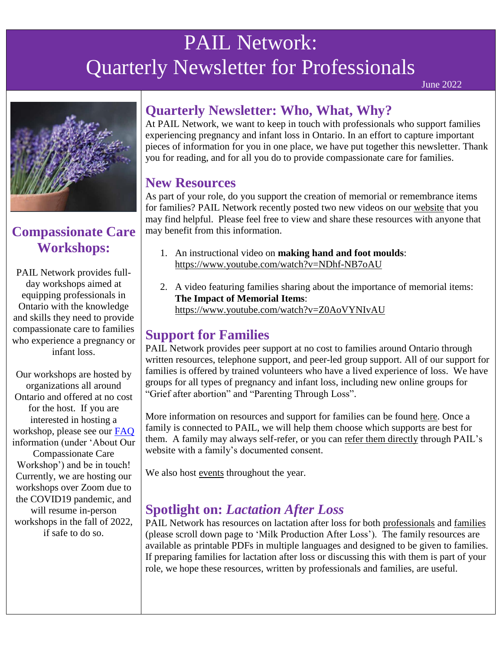# PAIL Network: Quarterly Newsletter for Professionals

June 2022



# **Compassionate Care Workshops:**

PAIL Network provides fullday workshops aimed at equipping professionals in Ontario with the knowledge and skills they need to provide compassionate care to families who experience a pregnancy or infant loss.

Our workshops are hosted by organizations all around Ontario and offered at no cost for the host. If you are interested in hosting a workshop, please see our [FAQ](https://pailnetwork.sunnybrook.ca/healthcare-training-opportunities/) information (under 'About Our Compassionate Care Workshop') and be in touch! Currently, we are hosting our workshops over Zoom due to the COVID19 pandemic, and will resume in-person workshops in the fall of 2022, if safe to do so.

## **Quarterly Newsletter: Who, What, Why?**

At PAIL Network, we want to keep in touch with professionals who support families experiencing pregnancy and infant loss in Ontario. In an effort to capture important pieces of information for you in one place, we have put together this newsletter. Thank you for reading, and for all you do to provide compassionate care for families.

### **New Resources**

As part of your role, do you support the creation of memorial or remembrance items for families? PAIL Network recently posted two new videos on our [website](https://pailnetwork.sunnybrook.ca/resources-2/) that you may find helpful. Please feel free to view and share these resources with anyone that may benefit from this information.

- 1. An instructional video on **making hand and foot moulds**: <https://www.youtube.com/watch?v=NDhf-NB7oAU>
- 2. A video featuring families sharing about the importance of memorial items: **The Impact of Memorial Items**: <https://www.youtube.com/watch?v=Z0AoVYNIvAU>

### **Support for Families**

PAIL Network provides peer support at no cost to families around Ontario through written resources, telephone support, and peer-led group support. All of our support for families is offered by trained volunteers who have a lived experience of loss. We have groups for all types of pregnancy and infant loss, including new online groups for "Grief after abortion" and "Parenting Through Loss".

More information on resources and support for families can be found [here.](https://pailnetwork.sunnybrook.ca/programs-for-parents/) Once a family is connected to PAIL, we will help them choose which supports are best for them. A family may always self-refer, or you can [refer them directly](https://pailnetwork.sunnybrook.ca/healthcare-professionals/referral/) through PAIL's website with a family's documented consent.

We also host [events](https://pailnetwork.sunnybrook.ca/memorial-events/) throughout the year.

# **Spotlight on:** *Lactation After Loss*

PAIL Network has resources on lactation after loss for both [professionals](https://pailnetwork.sunnybrook.ca/resources-2/lactation-after-loss/) and [families](https://pailnetwork.sunnybrook.ca/resource-library/) (please scroll down page to 'Milk Production After Loss'). The family resources are available as printable PDFs in multiple languages and designed to be given to families. If preparing families for lactation after loss or discussing this with them is part of your role, we hope these resources, written by professionals and families, are useful.